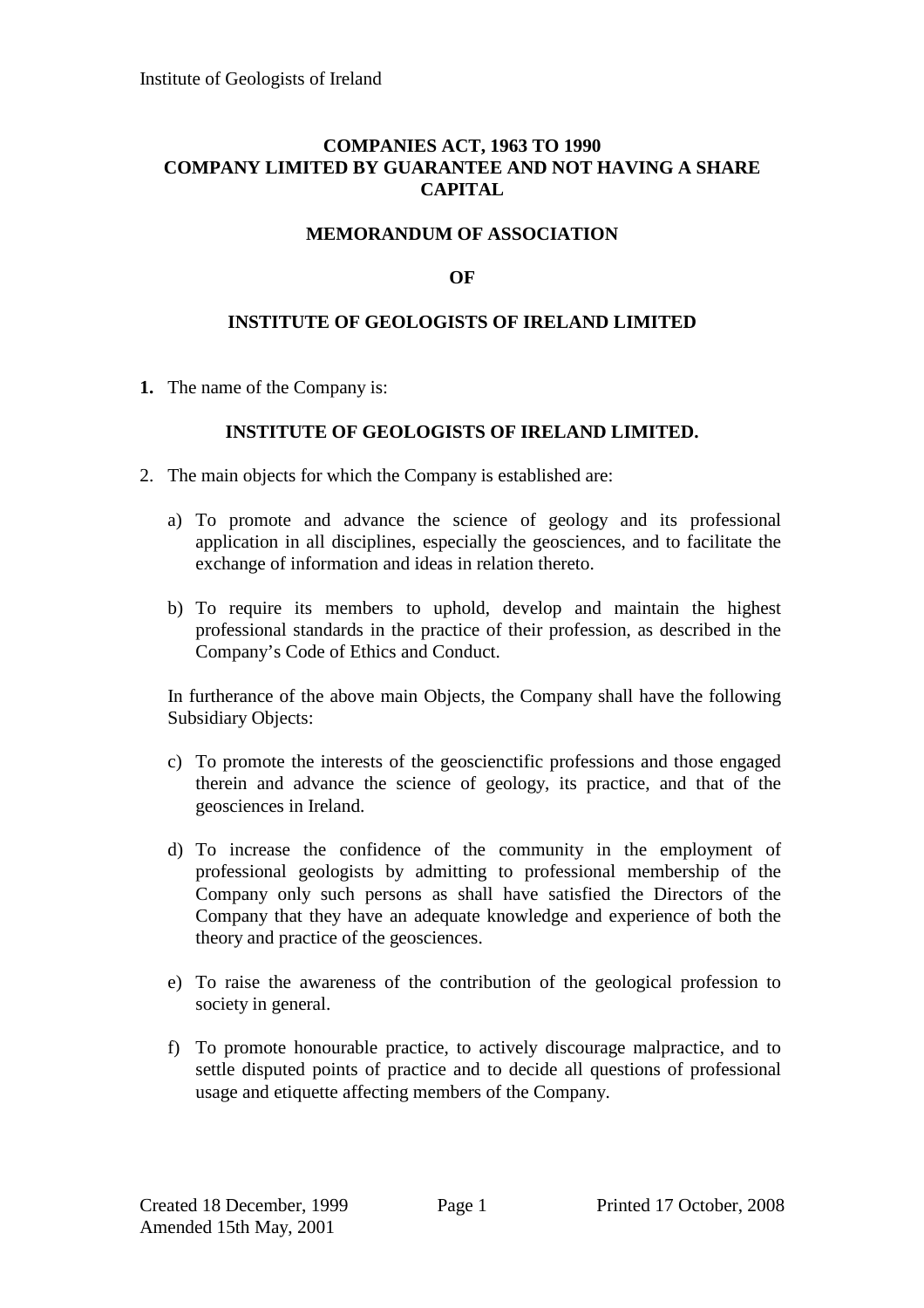## **COMPANIES ACT, 1963 TO 1990 COMPANY LIMITED BY GUARANTEE AND NOT HAVING A SHARE CAPITAL**

# **MEMORANDUM OF ASSOCIATION**

## **OF**

#### **INSTITUTE OF GEOLOGISTS OF IRELAND LIMITED**

**1.** The name of the Company is:

#### **INSTITUTE OF GEOLOGISTS OF IRELAND LIMITED.**

- 2. The main objects for which the Company is established are:
	- a) To promote and advance the science of geology and its professional application in all disciplines, especially the geosciences, and to facilitate the exchange of information and ideas in relation thereto.
	- b) To require its members to uphold, develop and maintain the highest professional standards in the practice of their profession, as described in the Company's Code of Ethics and Conduct.

In furtherance of the above main Objects, the Company shall have the following Subsidiary Objects:

- c) To promote the interests of the geoscienctific professions and those engaged therein and advance the science of geology, its practice, and that of the geosciences in Ireland.
- d) To increase the confidence of the community in the employment of professional geologists by admitting to professional membership of the Company only such persons as shall have satisfied the Directors of the Company that they have an adequate knowledge and experience of both the theory and practice of the geosciences.
- e) To raise the awareness of the contribution of the geological profession to society in general.
- f) To promote honourable practice, to actively discourage malpractice, and to settle disputed points of practice and to decide all questions of professional usage and etiquette affecting members of the Company.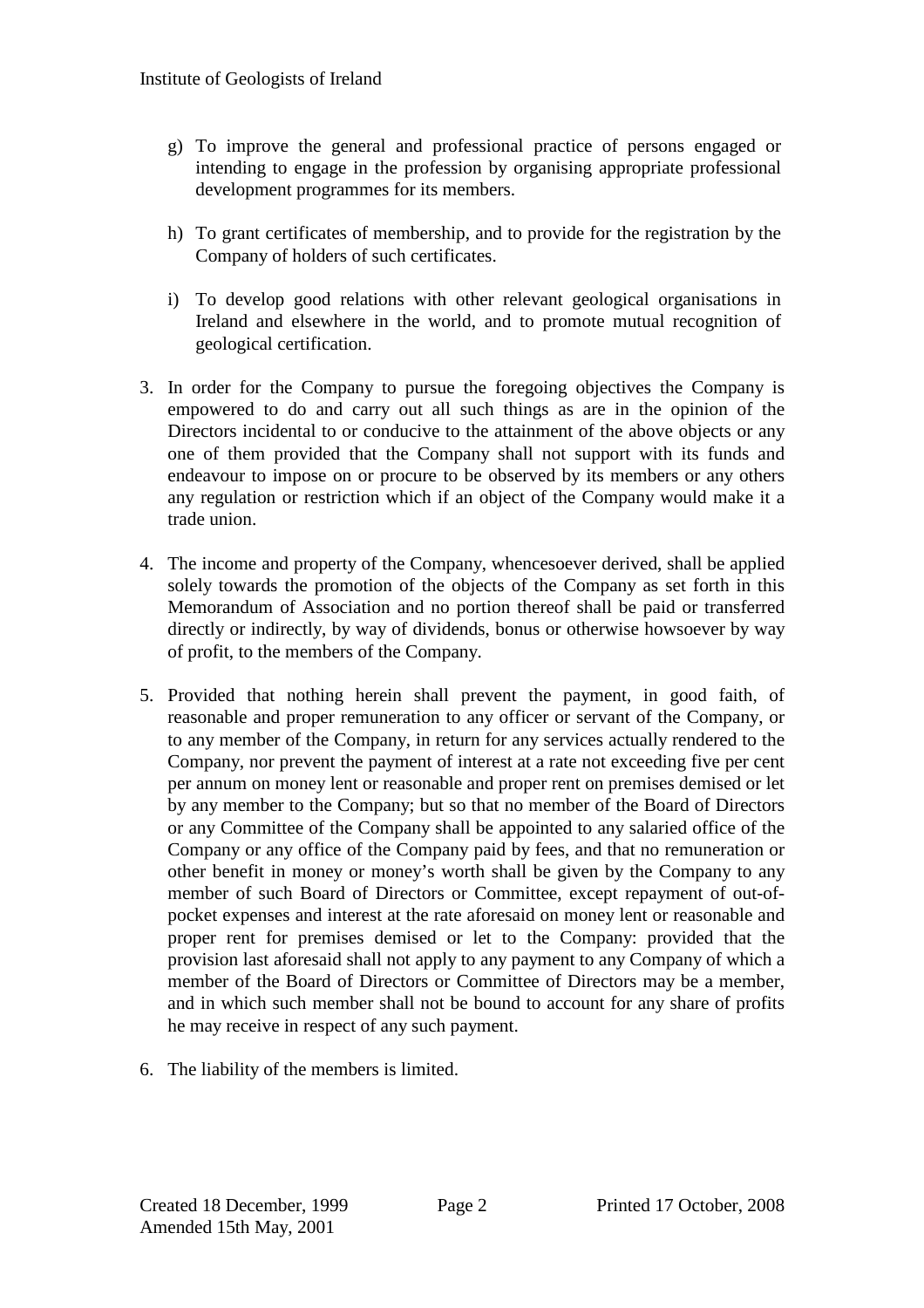- g) To improve the general and professional practice of persons engaged or intending to engage in the profession by organising appropriate professional development programmes for its members.
- h) To grant certificates of membership, and to provide for the registration by the Company of holders of such certificates.
- i) To develop good relations with other relevant geological organisations in Ireland and elsewhere in the world, and to promote mutual recognition of geological certification.
- 3. In order for the Company to pursue the foregoing objectives the Company is empowered to do and carry out all such things as are in the opinion of the Directors incidental to or conducive to the attainment of the above objects or any one of them provided that the Company shall not support with its funds and endeavour to impose on or procure to be observed by its members or any others any regulation or restriction which if an object of the Company would make it a trade union.
- 4. The income and property of the Company, whencesoever derived, shall be applied solely towards the promotion of the objects of the Company as set forth in this Memorandum of Association and no portion thereof shall be paid or transferred directly or indirectly, by way of dividends, bonus or otherwise howsoever by way of profit, to the members of the Company.
- 5. Provided that nothing herein shall prevent the payment, in good faith, of reasonable and proper remuneration to any officer or servant of the Company, or to any member of the Company, in return for any services actually rendered to the Company, nor prevent the payment of interest at a rate not exceeding five per cent per annum on money lent or reasonable and proper rent on premises demised or let by any member to the Company; but so that no member of the Board of Directors or any Committee of the Company shall be appointed to any salaried office of the Company or any office of the Company paid by fees, and that no remuneration or other benefit in money or money's worth shall be given by the Company to any member of such Board of Directors or Committee, except repayment of out-ofpocket expenses and interest at the rate aforesaid on money lent or reasonable and proper rent for premises demised or let to the Company: provided that the provision last aforesaid shall not apply to any payment to any Company of which a member of the Board of Directors or Committee of Directors may be a member, and in which such member shall not be bound to account for any share of profits he may receive in respect of any such payment.
- 6. The liability of the members is limited.